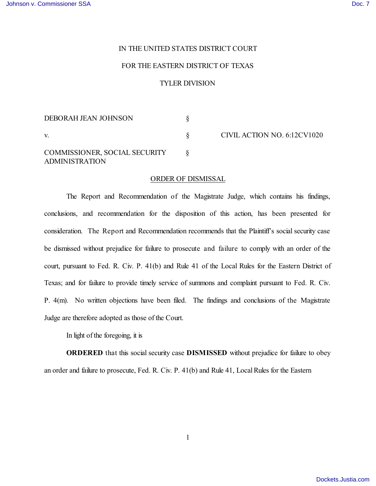## IN THE UNITED STATES DISTRICT COURT

## FOR THE EASTERN DISTRICT OF TEXAS

## TYLER DIVISION

| DEBORAH JEAN JOHNSON                                   |  |
|--------------------------------------------------------|--|
| V.                                                     |  |
| COMMISSIONER, SOCIAL SECURITY<br><b>ADMINISTRATION</b> |  |

§ CIVIL ACTION NO. 6:12CV1020

## ORDER OF DISMISSAL

The Report and Recommendation of the Magistrate Judge, which contains his findings, conclusions, and recommendation for the disposition of this action, has been presented for consideration. The Report and Recommendation recommends that the Plaintiff's social security case be dismissed without prejudice for failure to prosecute and failure to comply with an order of the court, pursuant to Fed. R. Civ. P. 41(b) and Rule 41 of the Local Rules for the Eastern District of Texas; and for failure to provide timely service of summons and complaint pursuant to Fed. R. Civ. P. 4(m). No written objections have been filed. The findings and conclusions of the Magistrate Judge are therefore adopted as those of the Court.

In light of the foregoing, it is

**ORDERED** that this social security case **DISMISSED** without prejudice for failure to obey an order and failure to prosecute, Fed. R. Civ. P. 41(b) and Rule 41, Local Rules for the Eastern

1